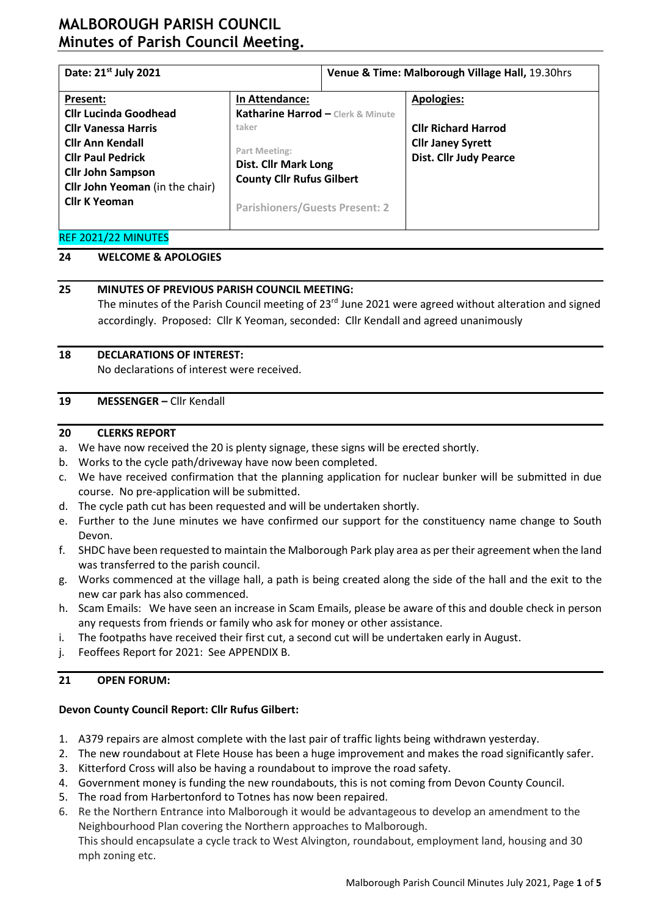# **MALBOROUGH PARISH COUNCIL Minutes of Parish Council Meeting.**

| Date: 21 <sup>st</sup> July 2021                                                                                                                                                                                                                                                                                                                                                                                         |  | Venue & Time: Malborough Village Hall, 19.30hrs |                                                                                                              |  |  |
|--------------------------------------------------------------------------------------------------------------------------------------------------------------------------------------------------------------------------------------------------------------------------------------------------------------------------------------------------------------------------------------------------------------------------|--|-------------------------------------------------|--------------------------------------------------------------------------------------------------------------|--|--|
| In Attendance:<br>Present:<br>Katharine Harrod - Clerk & Minute<br><b>Cllr Lucinda Goodhead</b><br>taker<br><b>Cllr Vanessa Harris</b><br><b>Cllr Ann Kendall</b><br>Part Meeting:<br><b>Cllr Paul Pedrick</b><br><b>Dist. Cllr Mark Long</b><br><b>Cllr John Sampson</b><br><b>County Cllr Rufus Gilbert</b><br><b>Cllr John Yeoman</b> (in the chair)<br><b>Cllr K Yeoman</b><br><b>Parishioners/Guests Present: 2</b> |  |                                                 | <b>Apologies:</b><br><b>Cllr Richard Harrod</b><br><b>Cllr Janey Syrett</b><br><b>Dist. Cllr Judy Pearce</b> |  |  |
| $SFR$ $SSA$ $(2.2.1)$ $TSTST$                                                                                                                                                                                                                                                                                                                                                                                            |  |                                                 |                                                                                                              |  |  |

# REF 2021/22 MINUTES

# **24 WELCOME & APOLOGIES**

## **25 MINUTES OF PREVIOUS PARISH COUNCIL MEETING:**

The minutes of the Parish Council meeting of 23<sup>rd</sup> June 2021 were agreed without alteration and signed accordingly. Proposed: Cllr K Yeoman, seconded: Cllr Kendall and agreed unanimously

## **18 DECLARATIONS OF INTEREST:**

No declarations of interest were received.

## **19 MESSENGER –** Cllr Kendall

#### **20 CLERKS REPORT**

- a. We have now received the 20 is plenty signage, these signs will be erected shortly.
- b. Works to the cycle path/driveway have now been completed.
- c. We have received confirmation that the planning application for nuclear bunker will be submitted in due course. No pre-application will be submitted.
- d. The cycle path cut has been requested and will be undertaken shortly.
- e. Further to the June minutes we have confirmed our support for the constituency name change to South Devon.
- f. SHDC have been requested to maintain the Malborough Park play area as per their agreement when the land was transferred to the parish council.
- g. Works commenced at the village hall, a path is being created along the side of the hall and the exit to the new car park has also commenced.
- h. Scam Emails: We have seen an increase in Scam Emails, please be aware of this and double check in person any requests from friends or family who ask for money or other assistance.
- i. The footpaths have received their first cut, a second cut will be undertaken early in August.
- j. Feoffees Report for 2021: See APPENDIX B.

# **21 OPEN FORUM:**

# **Devon County Council Report: Cllr Rufus Gilbert:**

- 1. A379 repairs are almost complete with the last pair of traffic lights being withdrawn yesterday.
- 2. The new roundabout at Flete House has been a huge improvement and makes the road significantly safer.
- 3. Kitterford Cross will also be having a roundabout to improve the road safety.
- 4. Government money is funding the new roundabouts, this is not coming from Devon County Council.
- 5. The road from Harbertonford to Totnes has now been repaired.
- 6. Re the Northern Entrance into Malborough it would be advantageous to develop an amendment to the Neighbourhood Plan covering the Northern approaches to Malborough.

This should encapsulate a cycle track to West Alvington, roundabout, employment land, housing and 30 mph zoning etc.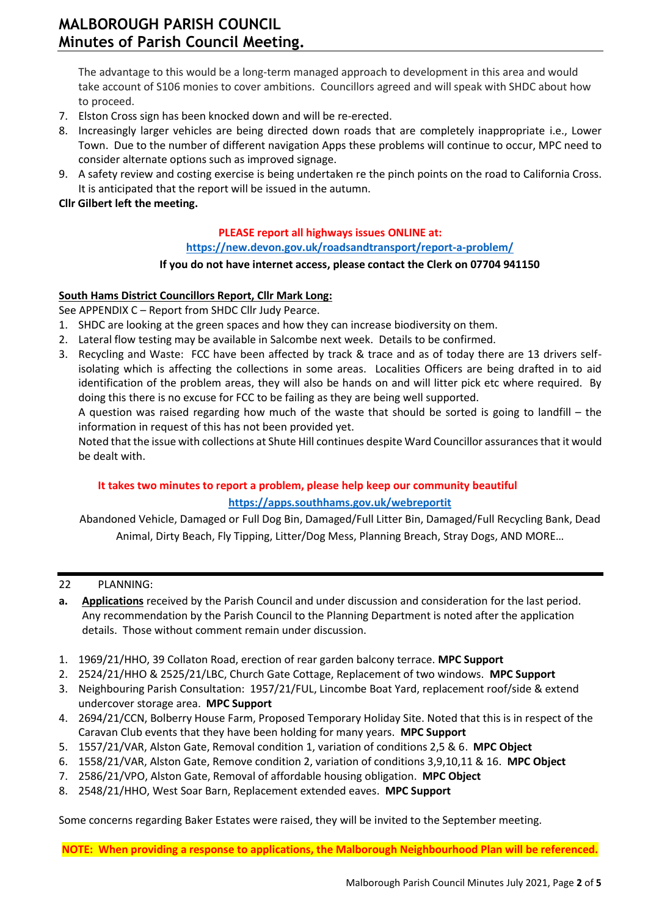The advantage to this would be a long-term managed approach to development in this area and would take account of S106 monies to cover ambitions. Councillors agreed and will speak with SHDC about how to proceed.

- 7. Elston Cross sign has been knocked down and will be re-erected.
- 8. Increasingly larger vehicles are being directed down roads that are completely inappropriate i.e., Lower Town. Due to the number of different navigation Apps these problems will continue to occur, MPC need to consider alternate options such as improved signage.
- 9. A safety review and costing exercise is being undertaken re the pinch points on the road to California Cross. It is anticipated that the report will be issued in the autumn.

# **Cllr Gilbert left the meeting.**

# **PLEASE report all highways issues ONLINE at:**

**<https://new.devon.gov.uk/roadsandtransport/report-a-problem/>**

## **If you do not have internet access, please contact the Clerk on 07704 941150**

## **South Hams District Councillors Report, Cllr Mark Long:**

See APPENDIX C – Report from SHDC Cllr Judy Pearce.

- 1. SHDC are looking at the green spaces and how they can increase biodiversity on them.
- 2. Lateral flow testing may be available in Salcombe next week. Details to be confirmed.
- 3. Recycling and Waste: FCC have been affected by track & trace and as of today there are 13 drivers selfisolating which is affecting the collections in some areas. Localities Officers are being drafted in to aid identification of the problem areas, they will also be hands on and will litter pick etc where required. By doing this there is no excuse for FCC to be failing as they are being well supported.

A question was raised regarding how much of the waste that should be sorted is going to landfill – the information in request of this has not been provided yet.

Noted that the issue with collections at Shute Hill continues despite Ward Councillor assurances that it would be dealt with.

# **It takes two minutes to report a problem, please help keep our community beautiful <https://apps.southhams.gov.uk/webreportit>**

Abandoned Vehicle, Damaged or Full Dog Bin, Damaged/Full Litter Bin, Damaged/Full Recycling Bank, Dead Animal, Dirty Beach, Fly Tipping, Litter/Dog Mess, Planning Breach, Stray Dogs, AND MORE…

#### 22 PLANNING:

- **a. Applications** received by the Parish Council and under discussion and consideration for the last period. Any recommendation by the Parish Council to the Planning Department is noted after the application details. Those without comment remain under discussion.
- 1. 1969/21/HHO, 39 Collaton Road, erection of rear garden balcony terrace. **MPC Support**
- 2. 2524/21/HHO & 2525/21/LBC, Church Gate Cottage, Replacement of two windows. **MPC Support**
- 3. Neighbouring Parish Consultation: 1957/21/FUL, Lincombe Boat Yard, replacement roof/side & extend undercover storage area. **MPC Support**
- 4. 2694/21/CCN, Bolberry House Farm, Proposed Temporary Holiday Site. Noted that this is in respect of the Caravan Club events that they have been holding for many years. **MPC Support**
- 5. 1557/21/VAR, Alston Gate, Removal condition 1, variation of conditions 2,5 & 6. **MPC Object**
- 6. 1558/21/VAR, Alston Gate, Remove condition 2, variation of conditions 3,9,10,11 & 16. **MPC Object**
- 7. 2586/21/VPO, Alston Gate, Removal of affordable housing obligation. **MPC Object**
- 8. 2548/21/HHO, West Soar Barn, Replacement extended eaves. **MPC Support**

Some concerns regarding Baker Estates were raised, they will be invited to the September meeting.

**NOTE: When providing a response to applications, the Malborough Neighbourhood Plan will be referenced.**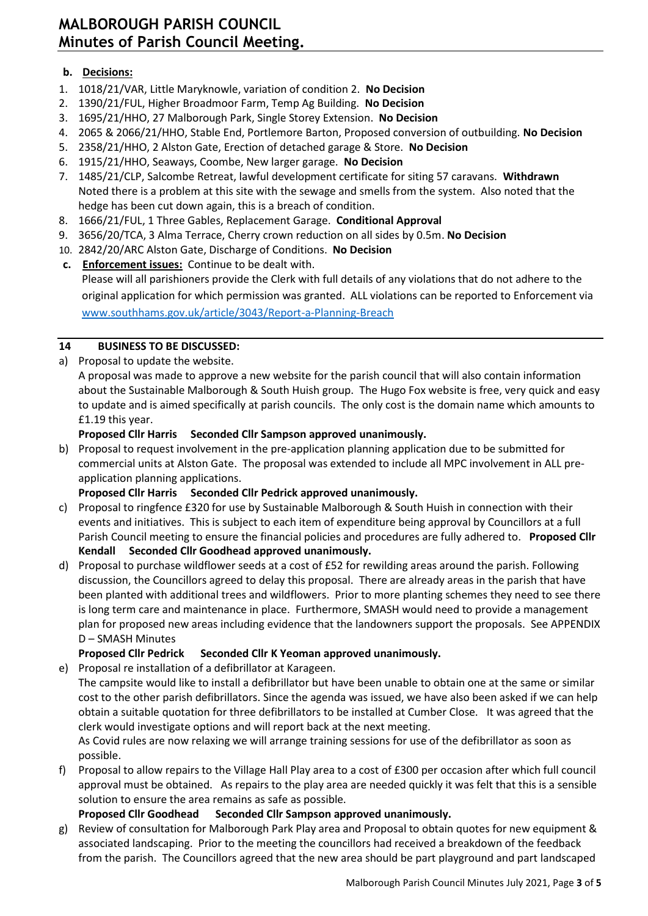# **MALBOROUGH PARISH COUNCIL Minutes of Parish Council Meeting.**

# **b. Decisions:**

- 1. 1018/21/VAR, Little Maryknowle, variation of condition 2. **No Decision**
- 2. 1390/21/FUL, Higher Broadmoor Farm, Temp Ag Building. **No Decision**
- 3. 1695/21/HHO, 27 Malborough Park, Single Storey Extension. **No Decision**
- 4. 2065 & 2066/21/HHO, Stable End, Portlemore Barton, Proposed conversion of outbuilding. **No Decision**
- 5. 2358/21/HHO, 2 Alston Gate, Erection of detached garage & Store. **No Decision**
- 6. 1915/21/HHO, Seaways, Coombe, New larger garage. **No Decision**
- 7. 1485/21/CLP, Salcombe Retreat, lawful development certificate for siting 57 caravans. **Withdrawn** Noted there is a problem at this site with the sewage and smells from the system. Also noted that the hedge has been cut down again, this is a breach of condition.
- 8. 1666/21/FUL, 1 Three Gables, Replacement Garage. **Conditional Approval**
- 9. 3656/20/TCA, 3 Alma Terrace, Cherry crown reduction on all sides by 0.5m. **No Decision**
- 10. 2842/20/ARC Alston Gate, Discharge of Conditions. **No Decision**
- **c. Enforcement issues:** Continue to be dealt with. Please will all parishioners provide the Clerk with full details of any violations that do not adhere to the original application for which permission was granted. ALL violations can be reported to Enforcement via [www.southhams.gov.uk/article/3043/Report-a-Planning-Breach](http://www.southhams.gov.uk/article/3043/Report-a-Planning-Breach)

# **14 BUSINESS TO BE DISCUSSED:**

a) Proposal to update the website.

A proposal was made to approve a new website for the parish council that will also contain information about the Sustainable Malborough & South Huish group. The Hugo Fox website is free, very quick and easy to update and is aimed specifically at parish councils. The only cost is the domain name which amounts to £1.19 this year.

# **Proposed Cllr Harris Seconded Cllr Sampson approved unanimously.**

b) Proposal to request involvement in the pre-application planning application due to be submitted for commercial units at Alston Gate. The proposal was extended to include all MPC involvement in ALL preapplication planning applications.

# **Proposed Cllr Harris Seconded Cllr Pedrick approved unanimously.**

- c) Proposal to ringfence £320 for use by Sustainable Malborough & South Huish in connection with their events and initiatives. This is subject to each item of expenditure being approval by Councillors at a full Parish Council meeting to ensure the financial policies and procedures are fully adhered to. **Proposed Cllr Kendall Seconded Cllr Goodhead approved unanimously.**
- d) Proposal to purchase wildflower seeds at a cost of £52 for rewilding areas around the parish. Following discussion, the Councillors agreed to delay this proposal. There are already areas in the parish that have been planted with additional trees and wildflowers. Prior to more planting schemes they need to see there is long term care and maintenance in place. Furthermore, SMASH would need to provide a management plan for proposed new areas including evidence that the landowners support the proposals. See APPENDIX D – SMASH Minutes

# **Proposed Cllr Pedrick Seconded Cllr K Yeoman approved unanimously.**

e) Proposal re installation of a defibrillator at Karageen.

The campsite would like to install a defibrillator but have been unable to obtain one at the same or similar cost to the other parish defibrillators. Since the agenda was issued, we have also been asked if we can help obtain a suitable quotation for three defibrillators to be installed at Cumber Close. It was agreed that the clerk would investigate options and will report back at the next meeting.

As Covid rules are now relaxing we will arrange training sessions for use of the defibrillator as soon as possible.

f) Proposal to allow repairs to the Village Hall Play area to a cost of £300 per occasion after which full council approval must be obtained. As repairs to the play area are needed quickly it was felt that this is a sensible solution to ensure the area remains as safe as possible.

# **Proposed Cllr Goodhead Seconded Cllr Sampson approved unanimously.**

g) Review of consultation for Malborough Park Play area and Proposal to obtain quotes for new equipment & associated landscaping. Prior to the meeting the councillors had received a breakdown of the feedback from the parish. The Councillors agreed that the new area should be part playground and part landscaped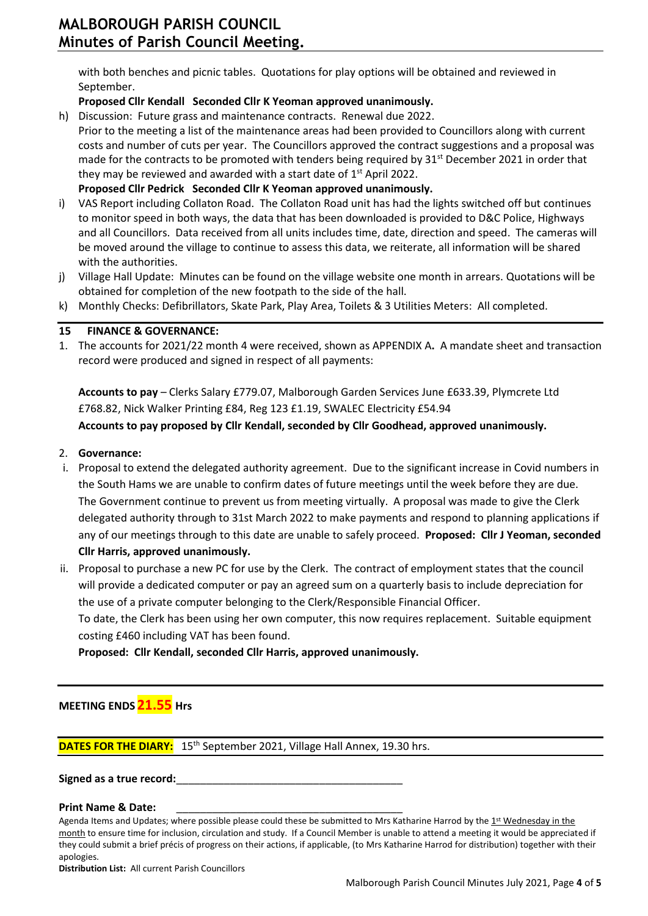with both benches and picnic tables. Quotations for play options will be obtained and reviewed in September.

# **Proposed Cllr Kendall Seconded Cllr K Yeoman approved unanimously.**

- h) Discussion: Future grass and maintenance contracts. Renewal due 2022.
- Prior to the meeting a list of the maintenance areas had been provided to Councillors along with current costs and number of cuts per year. The Councillors approved the contract suggestions and a proposal was made for the contracts to be promoted with tenders being required by 31<sup>st</sup> December 2021 in order that they may be reviewed and awarded with a start date of  $1<sup>st</sup>$  April 2022. **Proposed Cllr Pedrick Seconded Cllr K Yeoman approved unanimously.**
- i) VAS Report including Collaton Road. The Collaton Road unit has had the lights switched off but continues to monitor speed in both ways, the data that has been downloaded is provided to D&C Police, Highways and all Councillors. Data received from all units includes time, date, direction and speed. The cameras will be moved around the village to continue to assess this data, we reiterate, all information will be shared with the authorities.
- j) Village Hall Update: Minutes can be found on the village website one month in arrears. Quotations will be obtained for completion of the new footpath to the side of the hall.
- k) Monthly Checks: Defibrillators, Skate Park, Play Area, Toilets & 3 Utilities Meters: All completed.

## **15 FINANCE & GOVERNANCE:**

1. The accounts for 2021/22 month 4 were received, shown as APPENDIX A**.** A mandate sheet and transaction record were produced and signed in respect of all payments:

**Accounts to pay** – Clerks Salary £779.07, Malborough Garden Services June £633.39, Plymcrete Ltd £768.82, Nick Walker Printing £84, Reg 123 £1.19, SWALEC Electricity £54.94 **Accounts to pay proposed by Cllr Kendall, seconded by Cllr Goodhead, approved unanimously.** 

#### 2. **Governance:**

- i. Proposal to extend the delegated authority agreement. Due to the significant increase in Covid numbers in the South Hams we are unable to confirm dates of future meetings until the week before they are due. The Government continue to prevent us from meeting virtually. A proposal was made to give the Clerk delegated authority through to 31st March 2022 to make payments and respond to planning applications if any of our meetings through to this date are unable to safely proceed. **Proposed: Cllr J Yeoman, seconded Cllr Harris, approved unanimously.**
- ii. Proposal to purchase a new PC for use by the Clerk. The contract of employment states that the council will provide a dedicated computer or pay an agreed sum on a quarterly basis to include depreciation for the use of a private computer belonging to the Clerk/Responsible Financial Officer.

To date, the Clerk has been using her own computer, this now requires replacement. Suitable equipment costing £460 including VAT has been found.

**Proposed: Cllr Kendall, seconded Cllr Harris, approved unanimously.**

**MEETING ENDS21.55 Hrs**

l

**DATES FOR THE DIARY:** 15<sup>th</sup> September 2021, Village Hall Annex, 19.30 hrs.

Signed as a true record:

**Print Name & Date:** 

**Distribution List:** All current Parish Councillors

Agenda Items and Updates; where possible please could these be submitted to Mrs Katharine Harrod by the 1st Wednesday in the month to ensure time for inclusion, circulation and study. If a Council Member is unable to attend a meeting it would be appreciated if they could submit a brief précis of progress on their actions, if applicable, (to Mrs Katharine Harrod for distribution) together with their apologies.